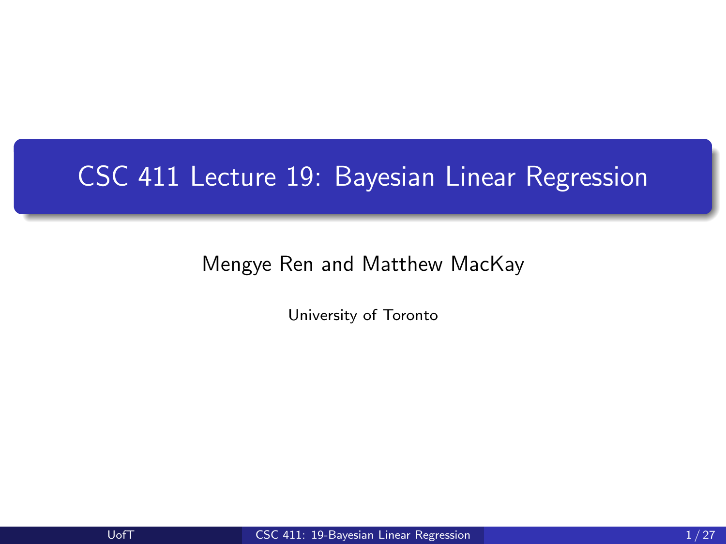## <span id="page-0-0"></span>CSC 411 Lecture 19: Bayesian Linear Regression

Mengye Ren and Matthew MacKay

University of Toronto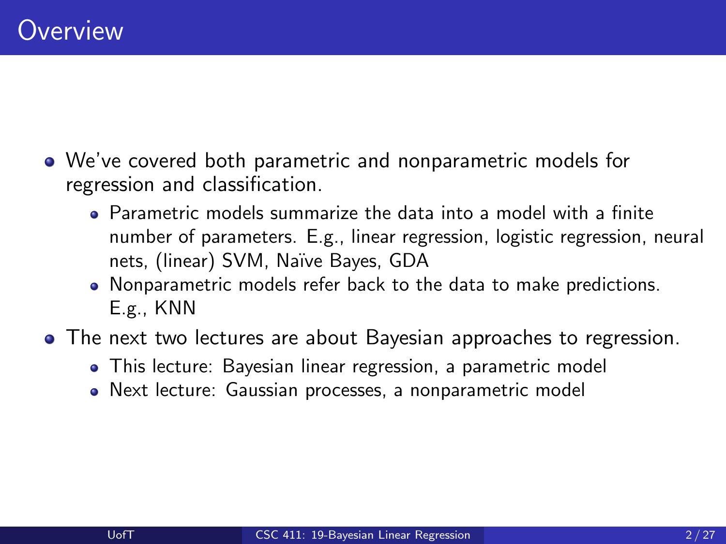- We've covered both parametric and nonparametric models for regression and classification.
	- Parametric models summarize the data into a model with a finite number of parameters. E.g., linear regression, logistic regression, neural nets, (linear) SVM, Naïve Bayes, GDA
	- Nonparametric models refer back to the data to make predictions. E.g., KNN
- The next two lectures are about Bayesian approaches to regression.
	- This lecture: Bayesian linear regression, a parametric model
	- Next lecture: Gaussian processes, a nonparametric model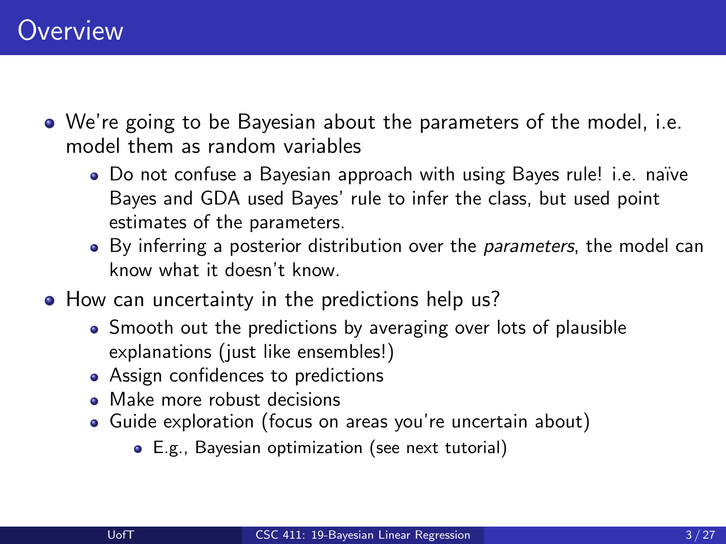- We're going to be Bayesian about the parameters of the model, i.e. model them as random variables
	- Do not confuse a Bayesian approach with using Bayes rule! i.e. naïve Bayes and GDA used Bayes' rule to infer the class, but used point estimates of the parameters.
	- By inferring a posterior distribution over the *parameters*, the model can know what it doesn't know.
- How can uncertainty in the predictions help us?
	- Smooth out the predictions by averaging over lots of plausible explanations (just like ensembles!)
	- Assign confidences to predictions
	- Make more robust decisions
	- Guide exploration (focus on areas you're uncertain about)
		- E.g., Bayesian optimization (see next tutorial)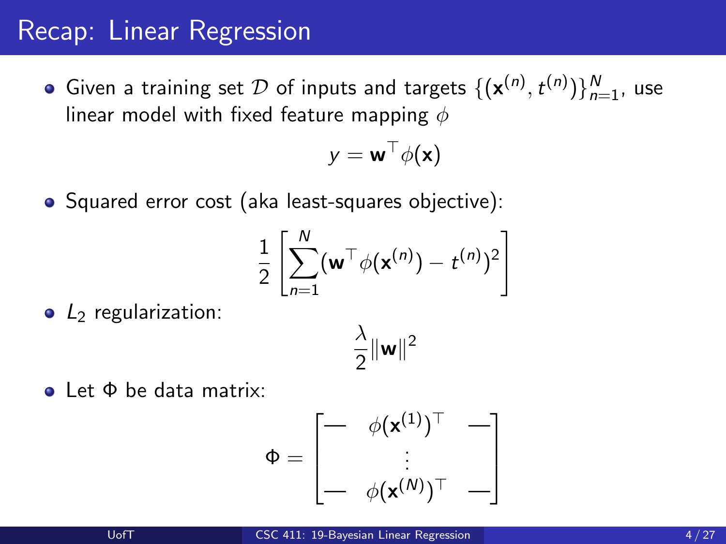### Recap: Linear Regression

Given a training set  $\mathcal D$  of inputs and targets  $\{(\mathbf x^{(n)},t^{(n)})\}_{n=1}^N$ , use linear model with fixed feature mapping  $\phi$ 

$$
y = \mathbf{w}^\top \phi(\mathbf{x})
$$

• Squared error cost (aka least-squares objective):

$$
\frac{1}{2}\left[\sum_{n=1}^N (\mathbf{w}^\top \phi(\mathbf{x}^{(n)}) - t^{(n)})^2\right]
$$

 $\bullet$  L<sub>2</sub> regularization:

$$
\frac{\lambda}{2} \|\mathbf{w}\|^2
$$

Let Φ be data matrix:

$$
\Phi = \begin{bmatrix} - & \phi(\mathbf{x}^{(1)})^\top & - \\ \vdots & & \\ - & \phi(\mathbf{x}^{(N)})^\top & - \end{bmatrix}
$$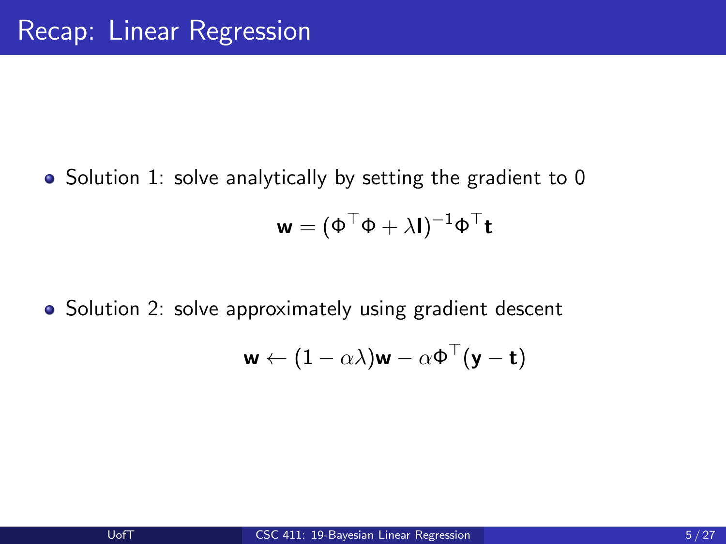• Solution 1: solve analytically by setting the gradient to 0

$$
\mathbf{w} = (\Phi^\top \Phi + \lambda \mathbf{I})^{-1} \Phi^\top \mathbf{t}
$$

• Solution 2: solve approximately using gradient descent

$$
\mathbf{w} \leftarrow (1 - \alpha \lambda) \mathbf{w} - \alpha \Phi^{\top} (\mathbf{y} - \mathbf{t})
$$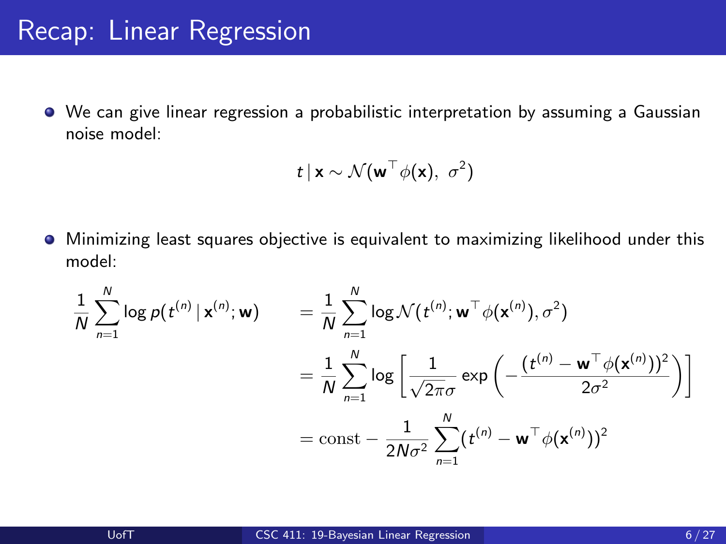#### Recap: Linear Regression

We can give linear regression a probabilistic interpretation by assuming a Gaussian noise model:

$$
t\,|\,\mathbf{x}\sim\mathcal{N}(\mathbf{w}^\top\phi(\mathbf{x}),\,\,\sigma^2)
$$

Minimizing least squares objective is equivalent to maximizing likelihood under this model:

$$
\frac{1}{N} \sum_{n=1}^{N} \log p(t^{(n)} | \mathbf{x}^{(n)}; \mathbf{w}) = \frac{1}{N} \sum_{n=1}^{N} \log \mathcal{N}(t^{(n)}; \mathbf{w}^{\top} \phi(\mathbf{x}^{(n)}), \sigma^2)
$$

$$
= \frac{1}{N} \sum_{n=1}^{N} \log \left[ \frac{1}{\sqrt{2\pi}\sigma} \exp \left( -\frac{(t^{(n)} - \mathbf{w}^{\top} \phi(\mathbf{x}^{(n)}))^2}{2\sigma^2} \right) \right]
$$

$$
= \text{const} - \frac{1}{2N\sigma^2} \sum_{n=1}^{N} (t^{(n)} - \mathbf{w}^{\top} \phi(\mathbf{x}^{(n)}))^2
$$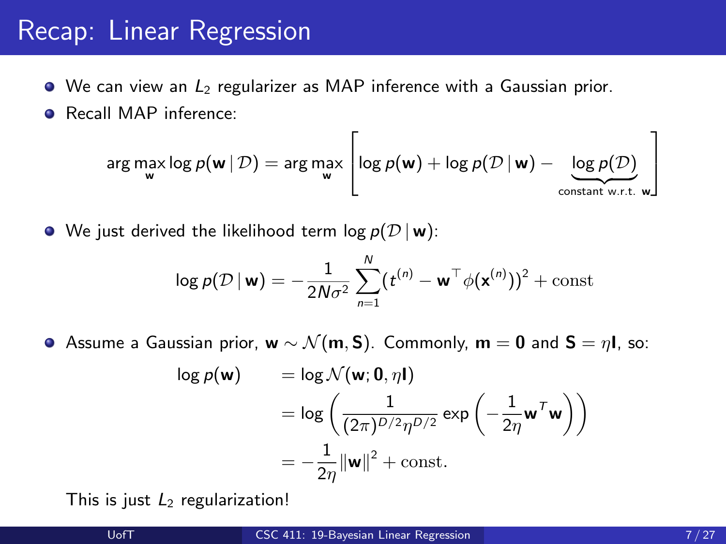### Recap: Linear Regression

- $\bullet$  We can view an  $L_2$  regularizer as MAP inference with a Gaussian prior.
- **•** Recall MAP inference:

$$
\arg \max_{\mathbf{w}} \log p(\mathbf{w} \,|\, \mathcal{D}) = \arg \max_{\mathbf{w}} \left[ \log p(\mathbf{w}) + \log p(\mathcal{D} \,|\, \mathbf{w}) - \underbrace{\log p(\mathcal{D})}_{\text{constant w.r.t. } \mathbf{w}} \right]
$$

• We just derived the likelihood term  $log p(D | w)$ :

$$
\log p(\mathcal{D} \,|\, \mathbf{w}) = -\frac{1}{2N\sigma^2} \sum_{n=1}^N (t^{(n)} - \mathbf{w}^\top \phi(\mathbf{x}^{(n)}))^2 + \text{const}
$$

**•** Assume a Gaussian prior,  $w \sim \mathcal{N}(m, S)$ . Commonly,  $m = 0$  and  $S = \eta l$ , so:

$$
\log p(\mathbf{w}) = \log \mathcal{N}(\mathbf{w}; \mathbf{0}, \eta \mathbf{I})
$$
  
=  $\log \left( \frac{1}{(2\pi)^{D/2} \eta^{D/2}} \exp \left( -\frac{1}{2\eta} \mathbf{w}^T \mathbf{w} \right) \right)$   
=  $-\frac{1}{2\eta} ||\mathbf{w}||^2 + \text{const.}$ 

This is just  $L_2$  regularization!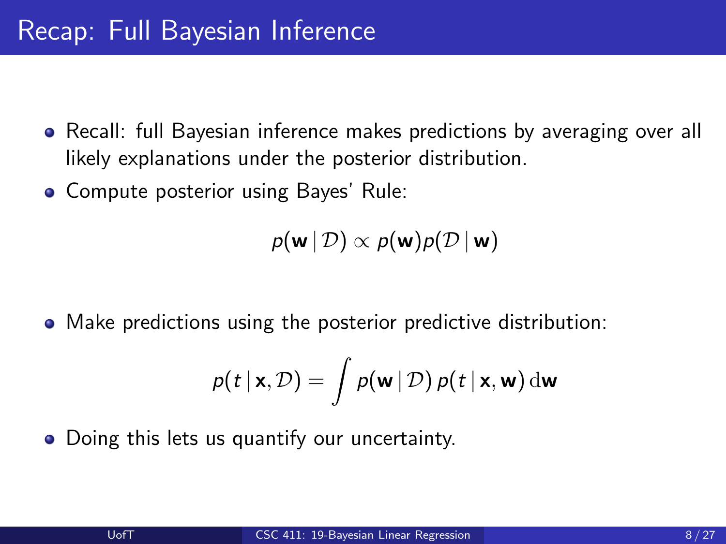- Recall: full Bayesian inference makes predictions by averaging over all likely explanations under the posterior distribution.
- Compute posterior using Bayes' Rule:

$$
p(\mathbf{w} \,|\, \mathcal{D}) \propto p(\mathbf{w}) p(\mathcal{D} \,|\, \mathbf{w})
$$

Make predictions using the posterior predictive distribution:

$$
p(t | \mathbf{x}, \mathcal{D}) = \int p(\mathbf{w} | \mathcal{D}) p(t | \mathbf{x}, \mathbf{w}) \, \mathrm{d}\mathbf{w}
$$

• Doing this lets us quantify our uncertainty.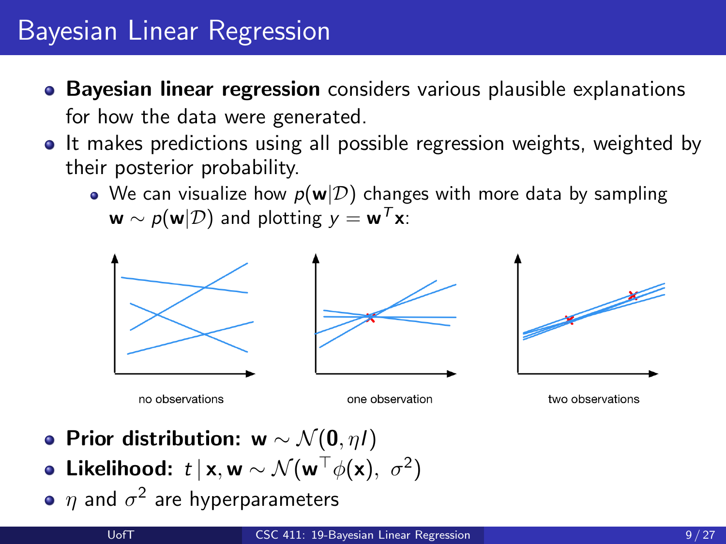- **Bayesian linear regression** considers various plausible explanations for how the data were generated.
- It makes predictions using all possible regression weights, weighted by their posterior probability.
	- We can visualize how  $p(w|\mathcal{D})$  changes with more data by sampling  $\mathbf{w} \sim p(\mathbf{w}|\mathcal{D})$  and plotting  $y = \mathbf{w}^T \mathbf{x}$ .



- Prior distribution: w  $\sim \mathcal{N}(0, \eta I)$
- Likelihood:  $t \, | \, \mathsf{x}, \mathsf{w} \sim \mathcal{N}(\mathsf{w}^\top \phi(\mathsf{x}), \; \sigma^2)$
- $\eta$  and  $\sigma^2$  are hyperparameters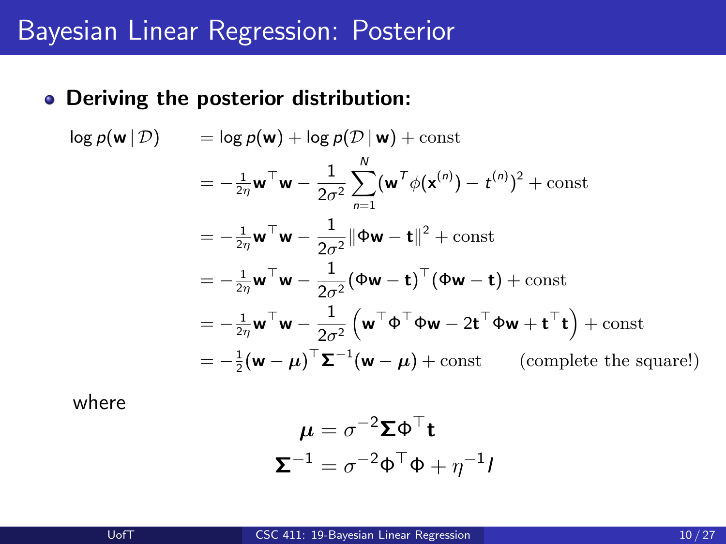#### Deriving the posterior distribution:

 $\log p(\mathbf{w} | \mathcal{D}) = \log p(\mathbf{w}) + \log p(\mathcal{D} | \mathbf{w}) + \text{const}$  $=-\frac{1}{2\eta}\mathbf{w}^\top\mathbf{w}-\frac{1}{2\sigma}$  $2\sigma^2$  $\sum_{\lambda}^{N}$  $n=1$  $({\bf w}^T \phi({\bf x}^{(n)}) - t^{(n)})^2 + \text{const}$  $=-\frac{1}{2\eta}\mathbf{w}^\top\mathbf{w}-\frac{1}{2\sigma}$  $\frac{1}{2\sigma^2} \|\Phi \mathbf{w} - \mathbf{t}\|^2 + \text{const}$  $=-\frac{1}{2\eta}\mathbf{w}^\top\mathbf{w}-\frac{1}{2\sigma}$  $\frac{1}{2\sigma^2}(\Phi \mathbf{w} - \mathbf{t})^\top (\Phi \mathbf{w} - \mathbf{t}) + \text{const}$  $=-\frac{1}{2\eta}\mathbf{w}^\top\mathbf{w}-\frac{1}{2\sigma}$  $2\sigma^2$  $(w^{\top} \Phi^{\top} \Phi w - 2t^{\top} \Phi w + t^{\top} t) + \text{const}$  $=-\frac{1}{2}(\mathbf{w}-\boldsymbol{\mu})^{\top}\boldsymbol{\Sigma}^{-1}(\mathbf{w}-\boldsymbol{\mu})+\text{const}$  (complete the square!)

where

$$
\mu = \sigma^{-2} \Sigma \Phi^{\top} \mathbf{t}
$$

$$
\Sigma^{-1} = \sigma^{-2} \Phi^{\top} \Phi + \eta^{-1} I
$$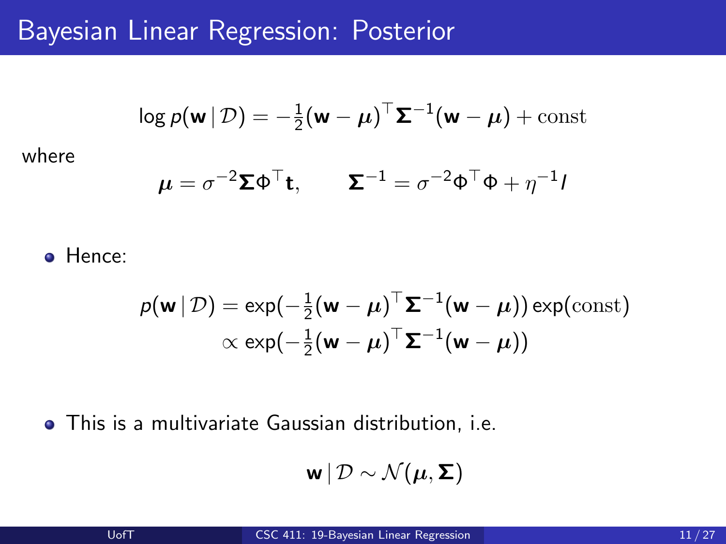#### Bayesian Linear Regression: Posterior

$$
\log p(\mathbf{w} \,|\, \mathcal{D}) = -\frac{1}{2}(\mathbf{w} - \boldsymbol{\mu})^{\top} \boldsymbol{\Sigma}^{-1}(\mathbf{w} - \boldsymbol{\mu}) + \text{const}
$$

where

$$
\boldsymbol{\mu} = \sigma^{-2} \boldsymbol{\Sigma} \boldsymbol{\Phi}^{\top} \mathbf{t}, \qquad \boldsymbol{\Sigma}^{-1} = \sigma^{-2} \boldsymbol{\Phi}^{\top} \boldsymbol{\Phi} + \eta^{-1} \boldsymbol{I}
$$

**o** Hence:

$$
p(\mathbf{w} | \mathcal{D}) = \exp(-\frac{1}{2}(\mathbf{w} - \boldsymbol{\mu})^{\top} \boldsymbol{\Sigma}^{-1}(\mathbf{w} - \boldsymbol{\mu})) \exp(\text{const})
$$

$$
\propto \exp(-\frac{1}{2}(\mathbf{w} - \boldsymbol{\mu})^{\top} \boldsymbol{\Sigma}^{-1}(\mathbf{w} - \boldsymbol{\mu}))
$$

This is a multivariate Gaussian distribution, i.e.

$$
\mathbf{w} \,|\, \mathcal{D} \sim \mathcal{N}(\boldsymbol{\mu}, \boldsymbol{\Sigma})
$$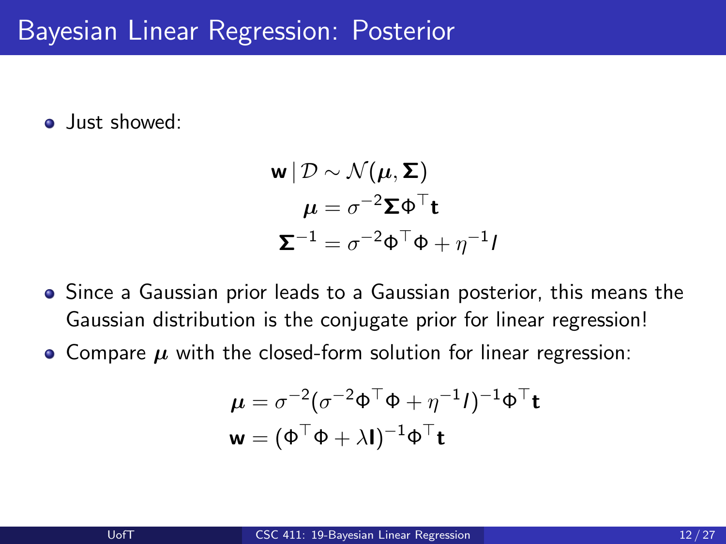**•** Just showed:

$$
\mathbf{w} | \mathcal{D} \sim \mathcal{N}(\boldsymbol{\mu}, \boldsymbol{\Sigma})
$$

$$
\boldsymbol{\mu} = \sigma^{-2} \boldsymbol{\Sigma} \boldsymbol{\Phi}^{\top} \mathbf{t}
$$

$$
\boldsymbol{\Sigma}^{-1} = \sigma^{-2} \boldsymbol{\Phi}^{\top} \boldsymbol{\Phi} + \eta^{-1} \boldsymbol{\mu}
$$

- Since a Gaussian prior leads to a Gaussian posterior, this means the Gaussian distribution is the conjugate prior for linear regression!
- Compare  $\mu$  with the closed-form solution for linear regression:

$$
\mu = \sigma^{-2}(\sigma^{-2}\Phi^{\top}\Phi + \eta^{-1}I)^{-1}\Phi^{\top}\mathbf{t}
$$

$$
\mathbf{w} = (\Phi^{\top}\Phi + \lambda I)^{-1}\Phi^{\top}\mathbf{t}
$$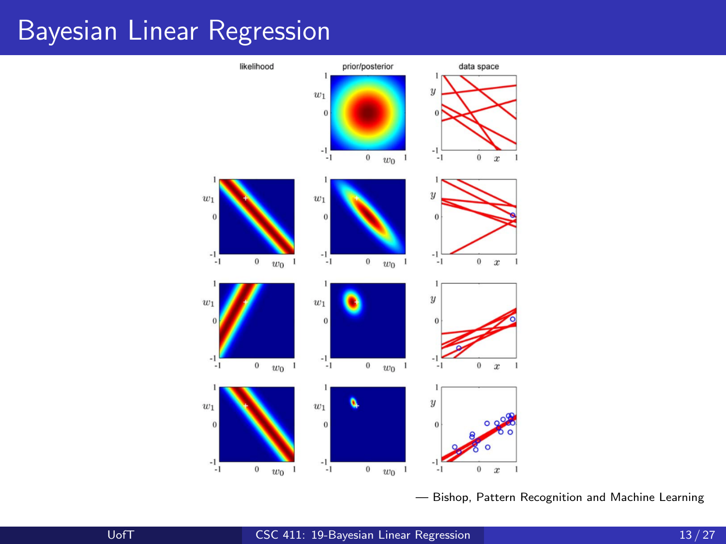

— Bishop, Pattern Recognition and Machine Learning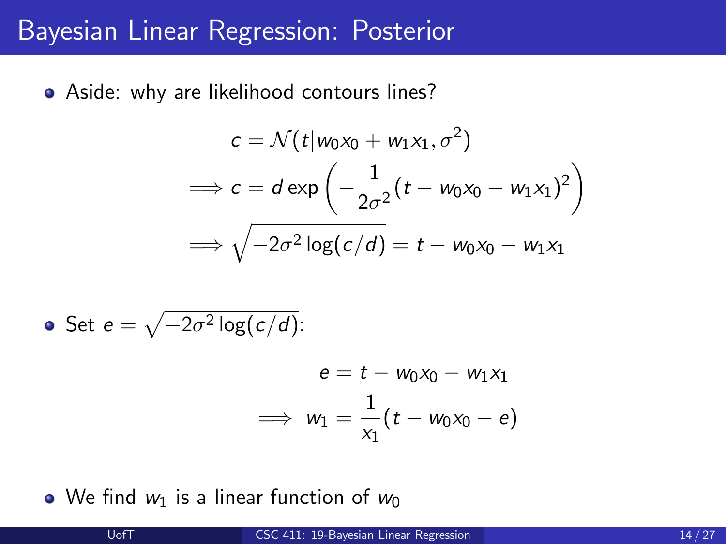#### Bayesian Linear Regression: Posterior

• Aside: why are likelihood contours lines?

$$
c = \mathcal{N}(t|w_0x_0 + w_1x_1, \sigma^2)
$$
  
\n
$$
\implies c = d \exp\left(-\frac{1}{2\sigma^2}(t - w_0x_0 - w_1x_1)^2\right)
$$
  
\n
$$
\implies \sqrt{-2\sigma^2 \log(c/d)} = t - w_0x_0 - w_1x_1
$$

• Set 
$$
e = \sqrt{-2\sigma^2 \log(c/d)}
$$
:

$$
e = t - w_0x_0 - w_1x_1
$$
  

$$
\implies w_1 = \frac{1}{x_1}(t - w_0x_0 - e)
$$

• We find  $w_1$  is a linear function of  $w_0$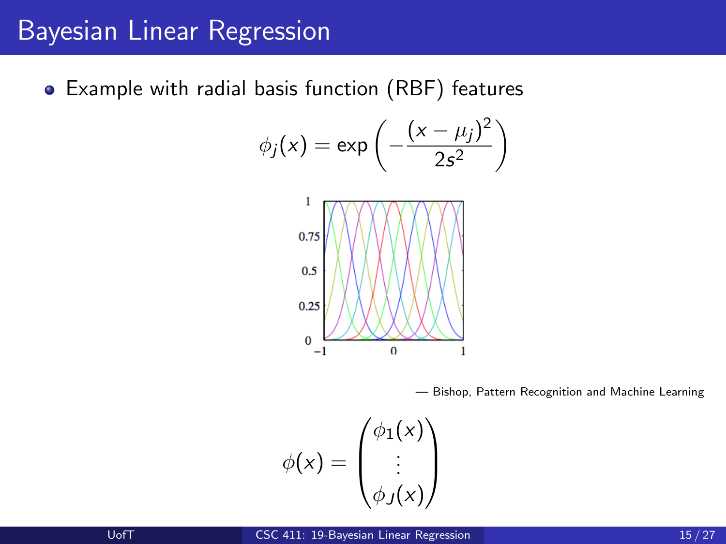Example with radial basis function (RBF) features

$$
\phi_j(x) = \exp\left(-\frac{(x-\mu_j)^2}{2s^2}\right)
$$



— Bishop, Pattern Recognition and Machine Learning

$$
\phi(x) = \begin{pmatrix} \phi_1(x) \\ \vdots \\ \phi_J(x) \end{pmatrix}
$$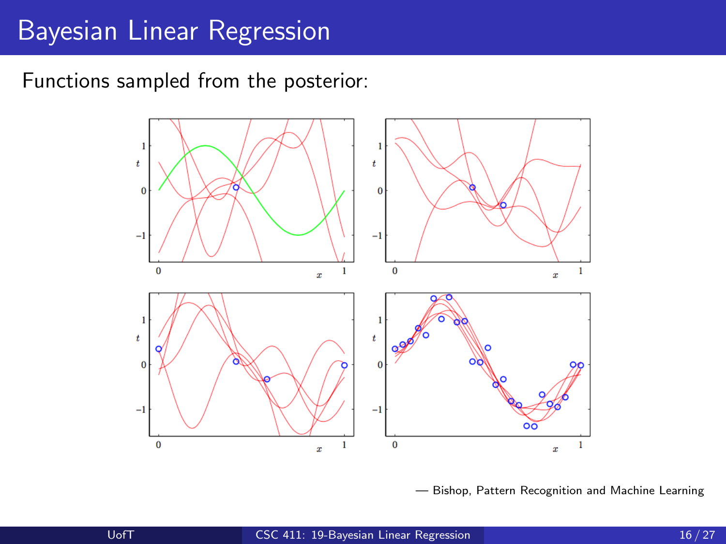Functions sampled from the posterior:



— Bishop, Pattern Recognition and Machine Learning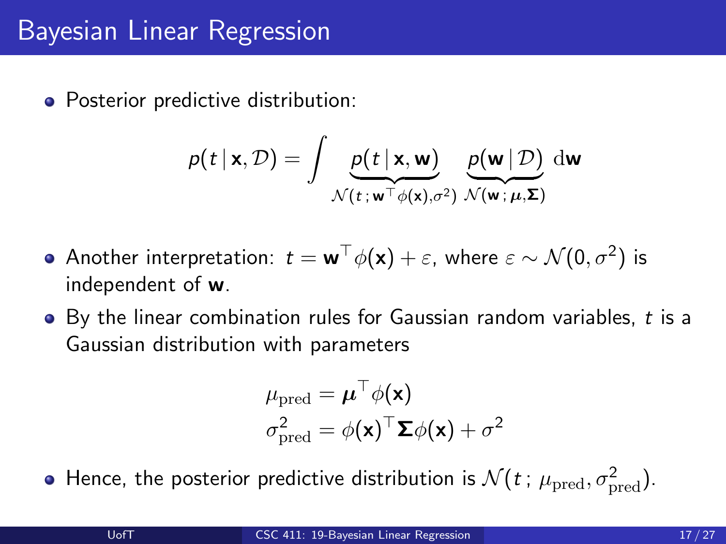• Posterior predictive distribution:

$$
p(t | \mathbf{x}, \mathcal{D}) = \int \underbrace{p(t | \mathbf{x}, \mathbf{w})}_{\mathcal{N}(t; \mathbf{w}^\top \phi(\mathbf{x}), \sigma^2)} \underbrace{p(\mathbf{w} | \mathcal{D})}_{\mathcal{N}(\mathbf{w}; \mu, \Sigma)} d\mathbf{w}
$$

- Another interpretation:  $t = \mathbf{w}^\top \phi(\mathbf{x}) + \varepsilon$ , where  $\varepsilon \sim \mathcal{N}(0, \sigma^2)$  is independent of w.
- $\bullet$  By the linear combination rules for Gaussian random variables, t is a Gaussian distribution with parameters

$$
\mu_{\text{pred}} = \boldsymbol{\mu}^{\top} \phi(\mathbf{x})
$$

$$
\sigma_{\text{pred}}^2 = \phi(\mathbf{x})^{\top} \boldsymbol{\Sigma} \phi(\mathbf{x}) + \sigma^2
$$

Hence, the posterior predictive distribution is  $\mathcal{N}(t$  ;  $\mu_\text{pred}, \sigma_\text{pred}^2)$ .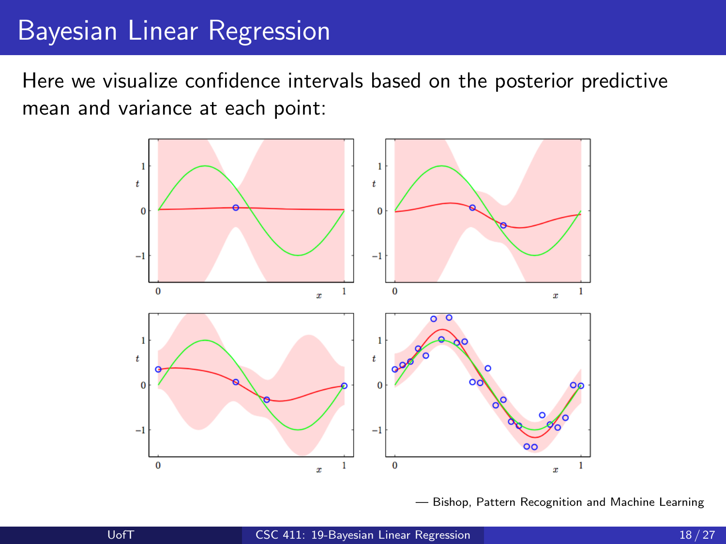Here we visualize confidence intervals based on the posterior predictive mean and variance at each point:



— Bishop, Pattern Recognition and Machine Learning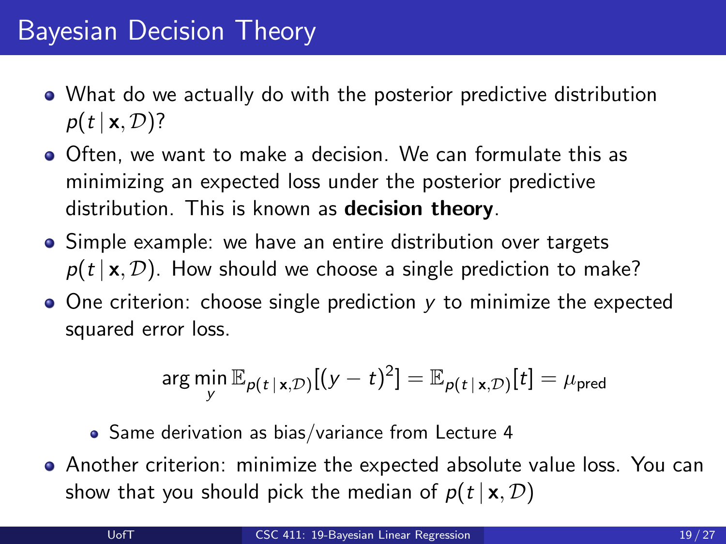- What do we actually do with the posterior predictive distribution  $p(t | \mathbf{x}, \mathcal{D})$ ?
- Often, we want to make a decision. We can formulate this as minimizing an expected loss under the posterior predictive distribution. This is known as **decision theory**.
- Simple example: we have an entire distribution over targets  $p(t | x, \mathcal{D})$ . How should we choose a single prediction to make?
- $\bullet$  One criterion: choose single prediction y to minimize the expected squared error loss.

$$
\arg\min_{\mathbf{y}} \mathbb{E}_{p(t \mid \mathbf{x}, \mathcal{D})}[(\mathbf{y} - t)^2] = \mathbb{E}_{p(t \mid \mathbf{x}, \mathcal{D})}[t] = \mu_{\text{pred}}
$$

- Same derivation as bias/variance from Lecture 4
- Another criterion: minimize the expected absolute value loss. You can show that you should pick the median of  $p(t | x, D)$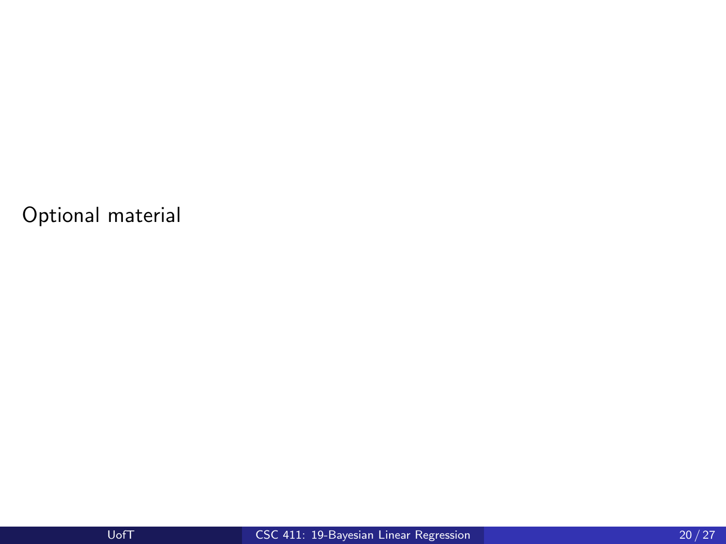Optional material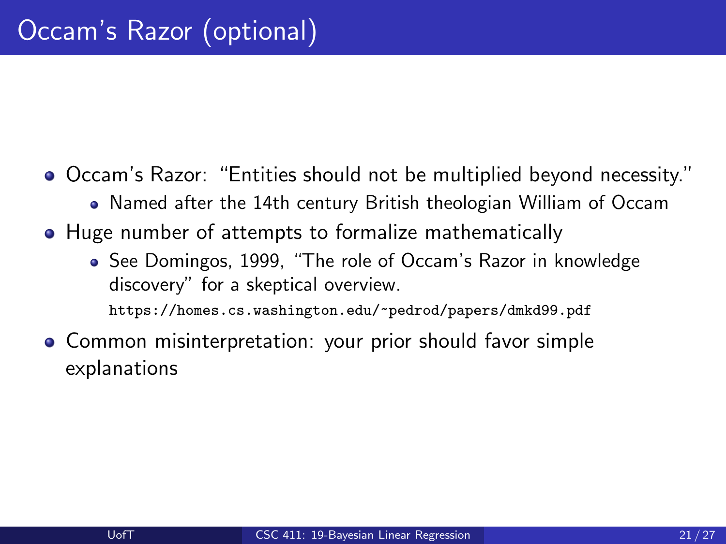Occam's Razor: "Entities should not be multiplied beyond necessity."

- Named after the 14th century British theologian William of Occam
- Huge number of attempts to formalize mathematically
	- See Domingos, 1999, "The role of Occam's Razor in knowledge discovery" for a skeptical overview.

<https://homes.cs.washington.edu/~pedrod/papers/dmkd99.pdf>

**• Common misinterpretation:** your prior should favor simple explanations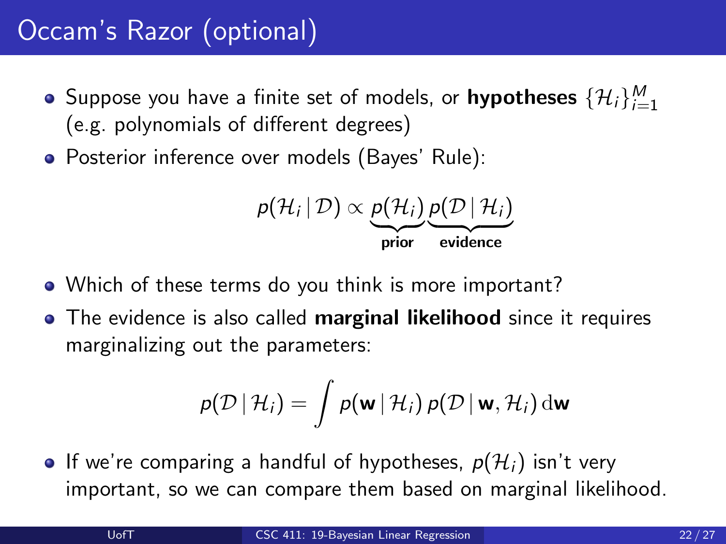- Suppose you have a finite set of models, or  $\mathsf{hypotheses}\ \{\mathcal{H}_i\}_{i=1}^M$ (e.g. polynomials of different degrees)
- Posterior inference over models (Bayes' Rule):

$$
p(\mathcal{H}_i | \mathcal{D}) \propto \underbrace{p(\mathcal{H}_i)}_{\text{prior}} \underbrace{p(\mathcal{D} | \mathcal{H}_i)}_{\text{evidence}}
$$

- Which of these terms do you think is more important?
- The evidence is also called **marginal likelihood** since it requires marginalizing out the parameters:

$$
p(\mathcal{D} | \mathcal{H}_i) = \int p(\mathbf{w} | \mathcal{H}_i) p(\mathcal{D} | \mathbf{w}, \mathcal{H}_i) d\mathbf{w}
$$

• If we're comparing a handful of hypotheses,  $p(\mathcal{H}_i)$  isn't very important, so we can compare them based on marginal likelihood.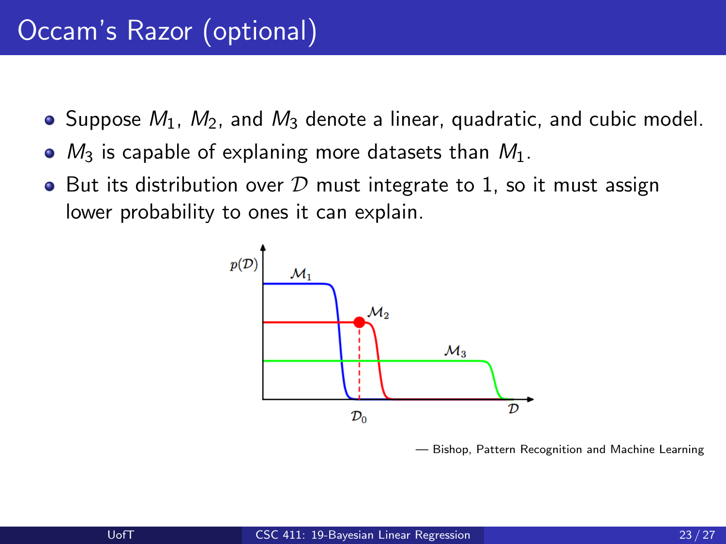- $\bullet$  Suppose  $M_1$ ,  $M_2$ , and  $M_3$  denote a linear, quadratic, and cubic model.
- $\bullet$   $M_3$  is capable of explaning more datasets than  $M_1$ .
- But its distribution over  $D$  must integrate to 1, so it must assign lower probability to ones it can explain.



— Bishop, Pattern Recognition and Machine Learning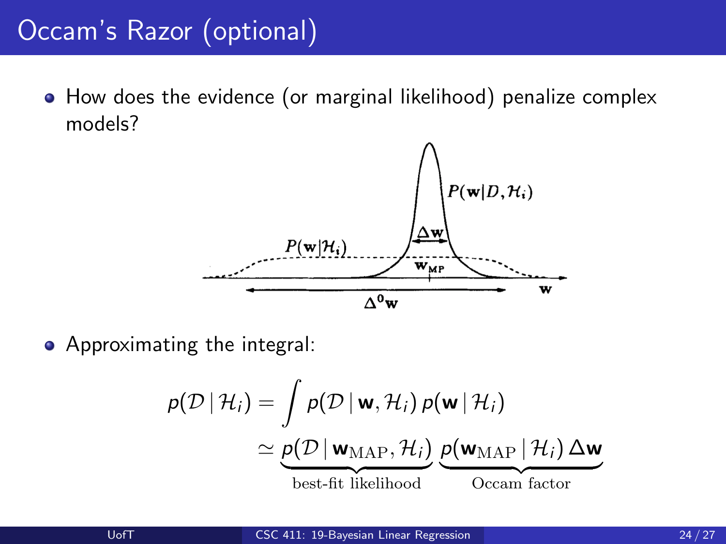• How does the evidence (or marginal likelihood) penalize complex models?



• Approximating the integral:

$$
p(\mathcal{D} | \mathcal{H}_i) = \int p(\mathcal{D} | \mathbf{w}, \mathcal{H}_i) p(\mathbf{w} | \mathcal{H}_i)
$$
  
\n
$$
\simeq \underbrace{p(\mathcal{D} | \mathbf{w}_{MAP}, \mathcal{H}_i)}_{\text{best-fit likelihood}} \underbrace{p(\mathbf{w}_{MAP} | \mathcal{H}_i) \Delta \mathbf{w}}_{\text{Occam factor}}
$$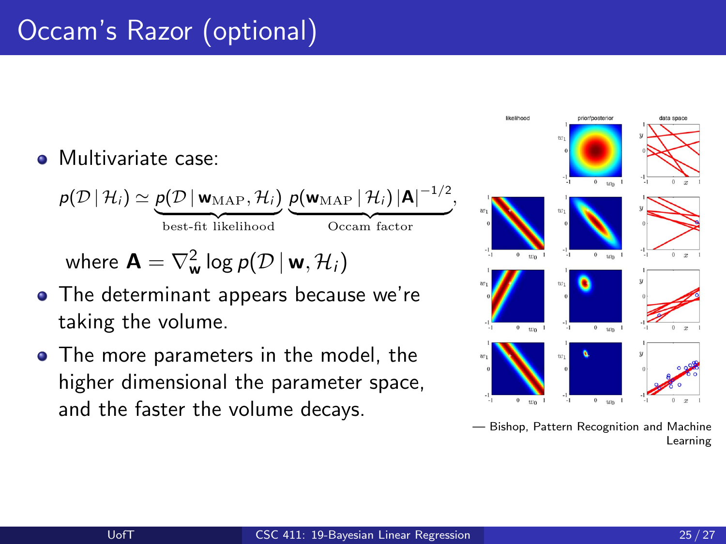#### **•** Multivariate case:

$$
p(\mathcal{D} | \mathcal{H}_i) \simeq \underbrace{p(\mathcal{D} | \mathbf{w}_{\text{MAP}}, \mathcal{H}_i)}_{\text{best-fit likelihood}} \underbrace{p(\mathbf{w}_{\text{MAP}} | \mathcal{H}_i) |\mathbf{A}|^{-1/2}}_{\text{Occam factor}},
$$

where  $\mathbf{A} = \nabla^2_{\mathbf{w}} \log p(\mathcal{D} \, | \, \mathbf{w}, \mathcal{H}_i)$ 

- The determinant appears because we're taking the volume.
- The more parameters in the model, the higher dimensional the parameter space, and the faster the volume decays.

![](_page_24_Figure_6.jpeg)

— Bishop, Pattern Recognition and Machine Learning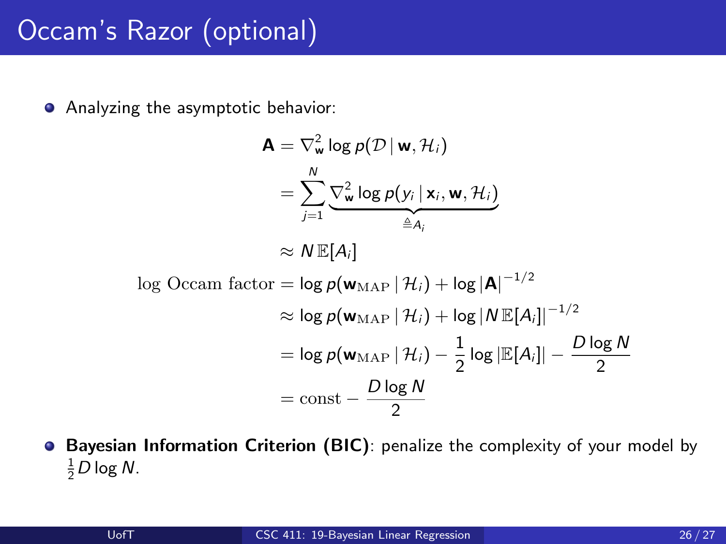Analyzing the asymptotic behavior:

$$
\mathbf{A} = \nabla_{\mathbf{w}}^2 \log p(\mathcal{D} | \mathbf{w}, \mathcal{H}_i)
$$
  
\n
$$
= \sum_{j=1}^N \underbrace{\nabla_{\mathbf{w}}^2 \log p(\mathbf{y}_i | \mathbf{x}_i, \mathbf{w}, \mathcal{H}_i)}_{\triangleq A_i}
$$
  
\n
$$
\approx N \mathbb{E}[A_i]
$$
  
\n
$$
\log \text{Occam factor} = \log p(\mathbf{w}_{\text{MAP}} | \mathcal{H}_i) + \log |\mathbf{A}|^{-1/2}
$$
  
\n
$$
\approx \log p(\mathbf{w}_{\text{MAP}} | \mathcal{H}_i) + \log |N \mathbb{E}[A_i]|^{-1/2}
$$
  
\n
$$
= \log p(\mathbf{w}_{\text{MAP}} | \mathcal{H}_i) - \frac{1}{2} \log |\mathbb{E}[A_i]| - \frac{D \log N}{2}
$$
  
\n
$$
= \text{const} - \frac{D \log N}{2}
$$

**• Bayesian Information Criterion (BIC)**: penalize the complexity of your model by  $\frac{1}{2}$ D log N.